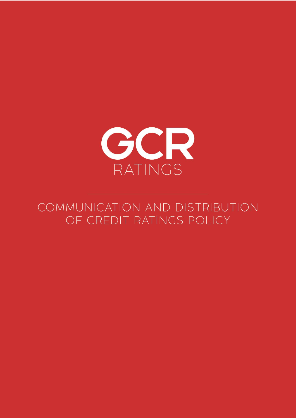

# COMMUNICATION AND DISTRIBUTION OF CREDIT RATINGS POLICY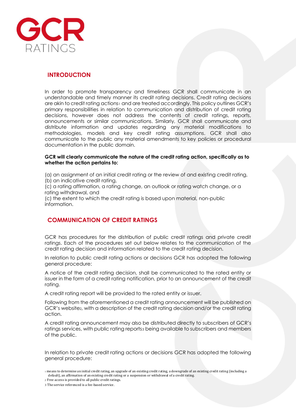

# **INTRODUCTION**

In order to promote transparency and timeliness GCR shall communicate in an understandable and timely manner its credit rating decisions. Credit rating decisions are akin to credit rating actions1 and are treated accordingly. This policy outlines GCR's primary responsibilities in relation to communication and distribution of credit rating decisions, however does not address the contents of credit ratings, reports, announcements or similar communications. Similarly, GCR shall communicate and distribute information and updates regarding any material modifications to methodologies, models and key credit rating assumptions. GCR shall also communicate to the public any material amendments to key policies or procedural documentation in the public domain.

#### **GCR will clearly communicate the nature of the credit rating action, specifically as to whether the action pertains to:**

(a) an assignment of an initial credit rating or the review of and existing credit rating, (b) an indicative credit rating,

(c) a rating affirmation, a rating change, an outlook or rating watch change, or a rating withdrawal, and

(c) the extent to which the credit rating is based upon material, non-public information.

# **COMMUNICATION OF CREDIT RATINGS**

GCR has procedures for the distribution of public credit ratings and private credit ratings. Each of the procedures set out below relates to the communication of the credit rating decision and information related to the credit rating decision.

In relation to public credit rating actions or decisions GCR has adopted the following general procedure:

A notice of the credit rating decision, shall be communicated to the rated entity or issuer in the form of a credit rating notification, prior to an announcement of the credit rating.

A credit rating report will be provided to the rated entity or issuer.

Following from the aforementioned a credit rating announcement will be published on GCR's website<sub>2</sub>, with a description of the credit rating decision and/or the credit rating action.

A credit rating announcement may also be distributed directly to subscribers of GCR's ratings services, with public rating reports<sub>3</sub> being available to subscribers and members of the public.

In relation to private credit rating actions or decisions GCR has adopted the following general procedure:

<sup>1</sup> means to determine an initial credit rating, an upgrade of an existing credit rating, a downgrade of an existing credit rating (including a default), an affirmation of an existing credit rating or a suspension or withdrawal of a credit rating.

<sup>2</sup> Free access is provided to all public credit ratings.

<sup>3</sup> The service referenced is a fee-based service.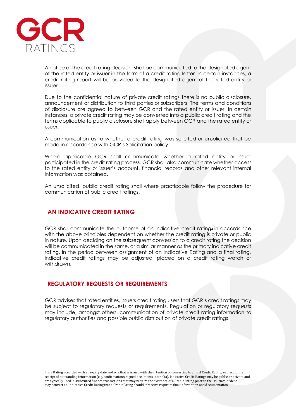

A notice of the credit rating decision, shall be communicated to the designated agent of the rated entity or issuer in the form of a credit rating letter. In certain instances, a credit rating report will be provided to the designated agent of the rated entity or issuer.

Due to the confidential nature of private credit ratings there is no public disclosure, announcement or distribution to third parties or subscribers. The terms and conditions of disclosure are agreed to between GCR and the rated entity or issuer. In certain instances, a private credit rating may be converted into a public credit rating and the terms applicable to public disclosure shall apply between GCR and the rated entity or issuer.

A communication as to whether a credit rating was solicited or unsolicited that be made in accordance with GCR's Solicitation policy.

Where applicable GCR shall communicate whether a rated entity or issuer participated in the credit rating process. GCR shall also communicate whether access to the rated entity or issuer's account, financial records and other relevant internal information was obtained.

An unsolicited, public credit rating shall where practicable follow the procedure for communication of public credit ratings.

### **AN INDICATIVE CREDIT RATING**

GCR shall communicate the outcome of an indicative credit rating4 in accordance with the above principles dependent on whether the credit rating is private or public in nature. Upon deciding on the subsequent conversion to a credit rating the decision will be communicated in the same, or a similar manner as the primary indicative credit rating. In the period between assignment of an Indicative Rating and a final rating, indicative credit ratings may be adjusted, placed on a credit rating watch or withdrawn.

### **REGULATORY REQUESTS OR REQUIREMENTS**

GCR advises that rated entities, issuers credit rating users that GCR's credit ratings may be subject to regulatory requests or requirements. Regulation or regulatory requests may include, amongst others, communication of private credit rating information to regulatory authorities and possible public distribution of private credit ratings.

4 Is a Rating accorded with an expiry date and one that is issued with the intention of converting to a final Credit Rating, subject to the receipt of outstanding information (e.g. confirmations, signed documents inter alia). Indicative Credit Ratings may be public or private and are typically used in structured finance transactions that may require the existence of a Credit Rating prior to the issuance of debt. GCR may convert an Indicative Credit Rating into a Credit Rating should it receive requisite final information and documentation